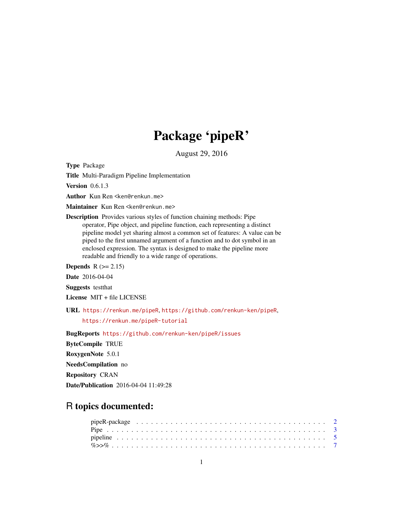## Package 'pipeR'

August 29, 2016

Type Package

Title Multi-Paradigm Pipeline Implementation

**Version** 0.6.1.3

Author Kun Ren <ken@renkun.me>

Maintainer Kun Ren <ken@renkun.me>

Description Provides various styles of function chaining methods: Pipe operator, Pipe object, and pipeline function, each representing a distinct pipeline model yet sharing almost a common set of features: A value can be piped to the first unnamed argument of a function and to dot symbol in an enclosed expression. The syntax is designed to make the pipeline more readable and friendly to a wide range of operations.

**Depends**  $R (= 2.15)$ 

Date 2016-04-04

Suggests testthat

License MIT + file LICENSE

URL <https://renkun.me/pipeR>, <https://github.com/renkun-ken/pipeR>,

<https://renkun.me/pipeR-tutorial>

BugReports <https://github.com/renkun-ken/pipeR/issues> ByteCompile TRUE RoxygenNote 5.0.1 NeedsCompilation no Repository CRAN Date/Publication 2016-04-04 11:49:28

### R topics documented: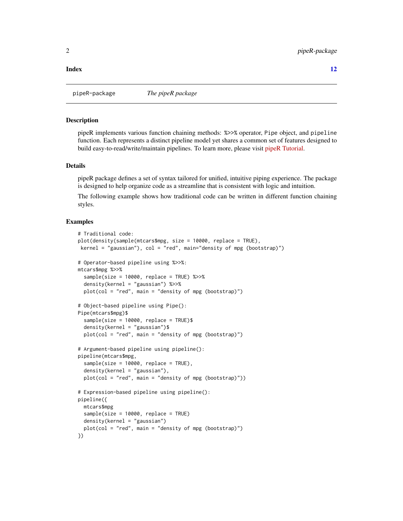#### <span id="page-1-0"></span>**Index** [12](#page-11-0)

pipeR-package *The pipeR package*

#### **Description**

pipeR implements various function chaining methods: %>>% operator, Pipe object, and pipeline function. Each represents a distinct pipeline model yet shares a common set of features designed to build easy-to-read/write/maintain pipelines. To learn more, please visit [pipeR Tutorial.](http://renkun.me/pipeR-tutorial)

#### Details

pipeR package defines a set of syntax tailored for unified, intuitive piping experience. The package is designed to help organize code as a streamline that is consistent with logic and intuition.

The following example shows how traditional code can be written in different function chaining styles.

#### Examples

```
# Traditional code:
plot(density(sample(mtcars$mpg, size = 10000, replace = TRUE),
kernel = "gaussian"), col = "red", main="density of mpg (bootstrap)")
# Operator-based pipeline using %>>%:
mtcars$mpg %>>%
 sample(size = 10000, replace = TRUE) %>>%
 density(kernel = "gaussian") %>>%
 plot(col = "red", main = "density of mpg (bootstrap)")
# Object-based pipeline using Pipe():
Pipe(mtcars$mpg)$
 sample(size = 10000, replace = TRUE)$
 density(kernel = "gaussian")$
 plot(col = "red", main = "density of mpg (bootstrap)")
# Argument-based pipeline using pipeline():
pipeline(mtcars$mpg,
 sample(size = 10000, replace = TRUE),
 density(kernel = "gaussian"),
 plot(col = "red", main = "density of mpg (bootstrap)"))
# Expression-based pipeline using pipeline():
pipeline({
 mtcars$mpg
 sample(size = 10000, replace = TRUE)
 density(kernel = "gaussian")
 plot(col = "red", main = "density of mpg (bootstrap)")
})
```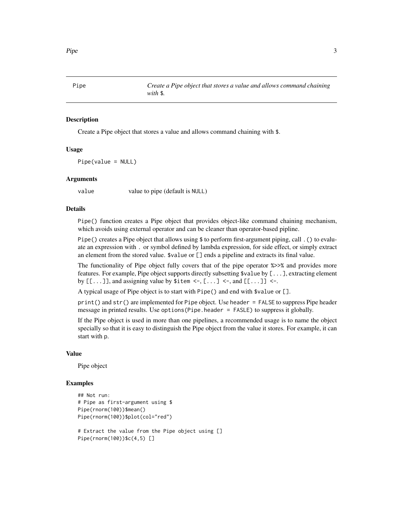<span id="page-2-0"></span>

#### Description

Create a Pipe object that stores a value and allows command chaining with \$.

#### Usage

Pipe(value = NULL)

#### Arguments

value value to pipe (default is NULL)

#### Details

Pipe() function creates a Pipe object that provides object-like command chaining mechanism, which avoids using external operator and can be cleaner than operator-based pipline.

Pipe() creates a Pipe object that allows using \$ to perform first-argument piping, call . () to evaluate an expression with . or symbol defined by lambda expression, for side effect, or simply extract an element from the stored value. \$value or [] ends a pipeline and extracts its final value.

The functionality of Pipe object fully covers that of the pipe operator %>>% and provides more features. For example, Pipe object supports directly subsetting \$value by [...], extracting element by  $[[...]]$ , and assigning value by  $$item < -, [...] < -$ , and  $[[...]] < -$ .

A typical usage of Pipe object is to start with Pipe() and end with \$value or [].

print() and str() are implemented for Pipe object. Use header = FALSE to suppress Pipe header message in printed results. Use options(Pipe.header = FASLE) to suppress it globally.

If the Pipe object is used in more than one pipelines, a recommended usage is to name the object specially so that it is easy to distinguish the Pipe object from the value it stores. For example, it can start with p.

#### Value

Pipe object

#### Examples

```
## Not run:
# Pipe as first-argument using $
Pipe(rnorm(100))$mean()
Pipe(rnorm(100))$plot(col="red")
```

```
# Extract the value from the Pipe object using []
Pipe(rnorm(100))$c(4,5) []
```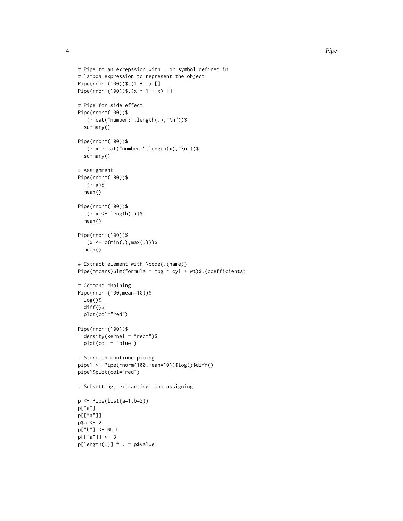```
# Pipe to an exrepssion with . or symbol defined in
# lambda expression to represent the object
Pipe(rnorm(100))$.(1 + .) []
Pipe(rnorm(100))$.(x \sim 1 + x) []
# Pipe for side effect
Pipe(rnorm(100))$
  .(~ cat("number:",length(.),"\n"))$
  summary()
Pipe(rnorm(100))$
  . (~ x ~ cat("number:", length(x),"\n"))$
  summary()
# Assignment
Pipe(rnorm(100))$
  . ({\sim x})$
  mean()
Pipe(rnorm(100))$
  .(~ x <- length(.))$
  mean()
Pipe(rnorm(100))%
  .(x \leq c(\min(.), \max(.)))$
  mean()
# Extract element with \code{.(name)}
Pipe(mtcars)$lm(formula = mpg ~ cyl + wt)$.(coefficients)
# Command chaining
Pipe(rnorm(100,mean=10))$
  log()$
  diff()$
  plot(col="red")
Pipe(rnorm(100))$
  density(kernel = "rect")$
  plot(col = "blue")
# Store an continue piping
pipe1 <- Pipe(rnorm(100,mean=10))$log()$diff()
pipe1$plot(col="red")
# Subsetting, extracting, and assigning
p <- Pipe(list(a=1,b=2))
p["a"]
p[["a"]]
p$a <- 2
p["b"] <- NULL
p[["a"]] <- 3
p[length(.)] # . = p$value
```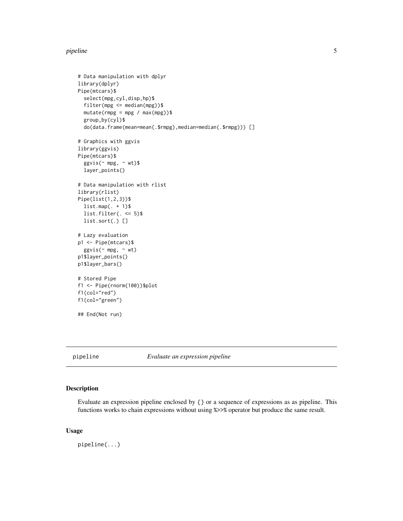#### <span id="page-4-0"></span>pipeline 50 to 50 minutes and 50 minutes of the state of the state of the state of the state of the state of the state of the state of the state of the state of the state of the state of the state of the state of the state

```
# Data manipulation with dplyr
library(dplyr)
Pipe(mtcars)$
  select(mpg,cyl,disp,hp)$
  filter(mpg <= median(mpg))$
  mutate(rmpg = mpg / max(mpg))$
  group_by(cyl)$
  do(data.frame(mean=mean(.$rmpg),median=median(.$rmpg))) []
# Graphics with ggvis
library(ggvis)
Pipe(mtcars)$
  ggvis(\sim mpg, \sim wt)$
  layer_points()
# Data manipulation with rlist
library(rlist)
Pipe(list(1,2,3))$
  listmap(. + 1)\list.filter(. <= 5)$
  list.sort(.) []
# Lazy evaluation
p1 <- Pipe(mtcars)$
  ggvis(~ mpg, ~ wt)
p1$layer_points()
p1$layer_bars()
# Stored Pipe
f1 <- Pipe(rnorm(100))$plot
f1(col="red")
f1(col="green")
## End(Not run)
```
pipeline *Evaluate an expression pipeline*

#### Description

Evaluate an expression pipeline enclosed by {} or a sequence of expressions as as pipeline. This functions works to chain expressions without using %>>% operator but produce the same result.

#### Usage

pipeline(...)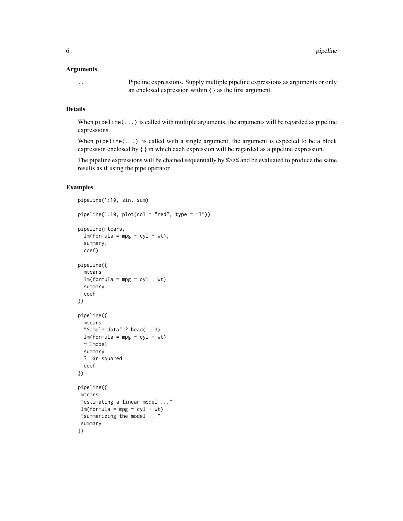#### **Arguments**

... Pipeline expressions. Supply multiple pipeline expressions as arguments or only an enclosed expression within {} as the first argument.

#### Details

When pipeline(...) is called with multiple arguments, the arguments will be regarded as pipeline expressions.

When  $pipeline(...)$  is called with a single argument, the argument is expected to be a block expression enclosed by {} in which each expression will be regarded as a pipeline expression.

The pipeline expressions will be chained sequentially by %>>% and be evaluated to produce the same results as if using the pipe operator.

#### Examples

```
pipeline(1:10, sin, sum)
pipeline(1:10, plot,col = "red", type = "l"))pipeline(mtcars,
  lm(formula = mp \sim cyl + wt),summary,
  coef)
pipeline({
  mtcars
  lm(formula = mpg \sim cyl + wt)summary
  coef
})
pipeline({
  mtcars
  "Sample data" ? head(., 3)
  lm(formula = mp \sim cyl + wt)~ lmodel
  summary
  ? .$r.squared
  coef
})
pipeline({
mtcars
 "estimating a linear model ..."
 lm(formula = mpg ~ ~ cyl ~ + wt)"summarizing the model ..."
 summary
})
```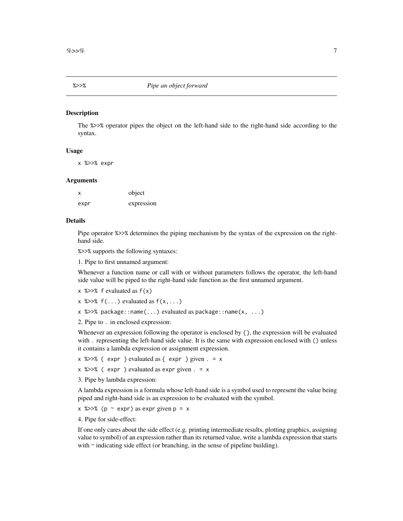#### <span id="page-6-0"></span>Description

The %>>% operator pipes the object on the left-hand side to the right-hand side according to the syntax.

#### Usage

x %>>% expr

#### Arguments

| х    | object     |
|------|------------|
| expr | expression |

#### Details

Pipe operator %>>% determines the piping mechanism by the syntax of the expression on the righthand side.

%>>% supports the following syntaxes:

1. Pipe to first unnamed argument:

Whenever a function name or call with or without parameters follows the operator, the left-hand side value will be piped to the right-hand side function as the first unnamed argument.

- $x \approx >>\$  f evaluated as  $f(x)$
- $x$  % $>>$ % f(...) evaluated as f(x,...)
- x %>>% package::name(...) evaluated as package::name(x, ...)
- 2. Pipe to . in enclosed expression:

Whenever an expression following the operator is enclosed by { }, the expression will be evaluated with . representing the left-hand side value. It is the same with expression enclosed with () unless it contains a lambda expression or assignment expression.

 $x$  %>>% { expr } evaluated as { expr } given  $. = x$ 

- $x$  % $>>$ % ( expr ) evaluated as expr given . = x
- 3. Pipe by lambda expression:

A lambda expression is a formula whose left-hand side is a symbol used to represent the value being piped and right-hand side is an expression to be evaluated with the symbol.

 $x \text{ %} >\text{ % (p ~} \text{exp} \text{) as } \text{exp} \text{ given } p = x$ 

4. Pipe for side-effect:

If one only cares about the side effect (e.g. printing intermediate results, plotting graphics, assigning value to symbol) of an expression rather than its returned value, write a lambda expression that starts with  $\sim$  indicating side effect (or branching, in the sense of pipeline building).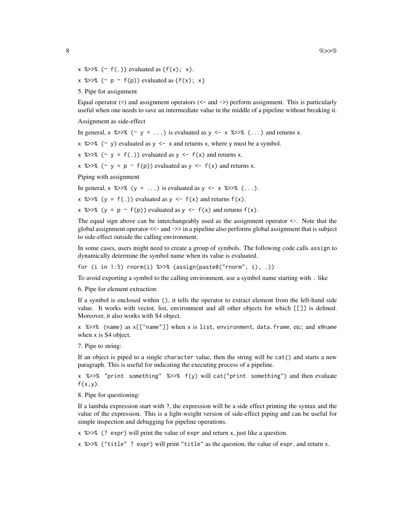- $x$  %>>% (~ f(.)) evaluated as {f(x); x}.
- x %>>% ( $\sim p \sim f(p)$ ) evaluated as { $f(x)$ ; x}
- 5. Pipe for assignment

Equal operator  $(=)$  and assignment operators  $(< -$  and  $>$ ) perform assignment. This is particularly useful when one needs to save an intermediate value in the middle of a pipeline without breaking it.

Assignment as side-effect

In general,  $x \approx 28$  (~ y = ...) is evaluated as y <- x  $\approx 28$  (...) and returns x.

 $x$  % $>>$ % (~ y) evaluated as y <- x and returns x, where y must be a symbol.

x % $>>$ % (~ y = f(.)) evaluated as y <- f(x) and returns x.

x %>>% ( $\sim$  y = p  $\sim$  f(p)) evaluated as y <- f(x) and returns x.

Piping with assignment

In general,  $x \approx >>\%$  (y = ...) is evaluated as y <- x  $\%>>\%$  (...).

 $x \text{ %} >\text{ % } (y = f(.)) \text{ evaluated as } y \leq f(x) \text{ and returns } f(x).$ 

x %>>% (y = p  $\sim$  f(p)) evaluated as y <- f(x) and returns f(x).

The equal sign above can be interchangeably used as the assignment operator  $\lt\text{-}$ . Note that the global assignment operator <<- and ->> in a pipeline also performs global assignment that is subject to side-effect outside the calling environment.

In some cases, users might need to create a group of symbols. The following code calls assign to dynamically determine the symbol name when its value is evaluated.

for (i in 1:5) rnorm(i)  $\gg$  (assign(paste0("rnorm", i), .))

To avoid exporting a symbol to the calling environment, use a symbol name starting with . like

6. Pipe for element extraction:

If a symbol is enclosed within (), it tells the operator to extract element from the left-hand side value. It works with vector, list, environment and all other objects for which [[]] is defined. Moreover, it also works with S4 object.

x %>>% (name) as x[["name"]] when x is list, environment, data.frame, etc; and x@name when x is S4 object.

7. Pipe to string:

If an object is piped to a single character value, then the string will be cat() and starts a new paragraph. This is useful for indicating the executing process of a pipeline.

x %>>% "print something" %>>%  $f(y)$  will cat("print something") and then evaluate  $f(x,y)$ .

8. Pipe for questioning:

If a lambda expression start with ?, the expression will be a side effect printing the syntax and the value of the expression. This is a light-weight version of side-effect piping and can be useful for simple inspection and debugging for pipeline operations.

x %>>% (? expr) will print the value of expr and return x, just like a question.

x %>>% ("title" ? expr) will print "title" as the question, the value of expr, and return x.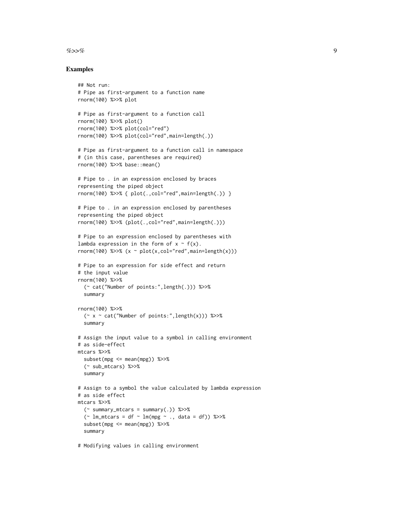#### $\%>>\%$  9

#### Examples

```
## Not run:
# Pipe as first-argument to a function name
rnorm(100) %>>% plot
# Pipe as first-argument to a function call
rnorm(100) %>>% plot()
rnorm(100) %>>% plot(col="red")
rnorm(100) %>>% plot(col="red",main=length(.))
# Pipe as first-argument to a function call in namespace
# (in this case, parentheses are required)
rnorm(100) %>>% base::mean()
# Pipe to . in an expression enclosed by braces
representing the piped object
rnorm(100) %>>% { plot(.,col="red",main=length(.)) }
# Pipe to . in an expression enclosed by parentheses
representing the piped object
rnorm(100) %>>% (plot(.,col="red",main=length(.)))
# Pipe to an expression enclosed by parentheses with
lambda expression in the form of x \sim f(x).
rnorm(100) %>>% (x ~ plot(x,col="red",main=length(x)))
# Pipe to an expression for side effect and return
# the input value
rnorm(100) %>>%
  (~ cat("Number of points:",length(.))) %>>%
  summary
rnorm(100) %>>%
  (\sim x \sim cat("Number of points:", length(x))) %>>%
  summary
# Assign the input value to a symbol in calling environment
# as side-effect
mtcars %>>%
  subset(mpg \le mean(mpg)) %>>%
  (~ sub_mtcars) %>>%
  summary
# Assign to a symbol the value calculated by lambda expression
# as side effect
mtcars %>>%
  (\sim summary_mtcars = summary(.)) %>>%
  (\sim lm_mtcars = df \sim lm(mpg \sim ., data = df)) %>>%
  subset(mpg \le mean(mpg)) %>>%
  summary
```
# Modifying values in calling environment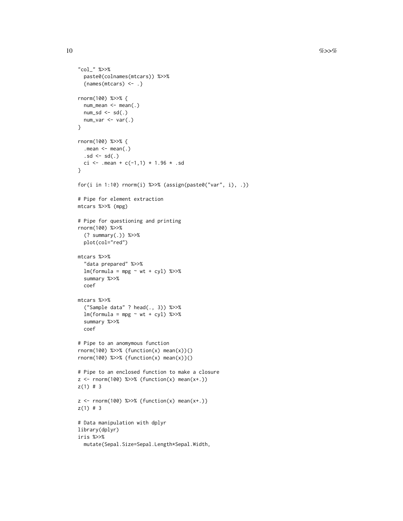```
"col_" %>>%
  paste0(colnames(mtcars)) %>>%
  {names(mtcars) <- .}
rnorm(100) %>>% {
 num_mean <- mean(.)
 num\_sd \leq sd(.)num_var <- var(.)
}
rnorm(100) %>>% {
  .mean \leq mean(.)
  .sd \leftarrow sd(.)
 ci <- .mean + c(-1,1) * 1.96 * .sd
}
for(i in 1:10) rnorm(i) %>>% (assign(paste0("var", i), .))
# Pipe for element extraction
mtcars %>>% (mpg)
# Pipe for questioning and printing
rnorm(100) %>>%
  (? summary(.)) %>>%
  plot(col="red")
mtcars %>>%
  "data prepared" %>>%
  lm(formula = mpg ~ wt + cyl) %>>%
  summary %>>%
  coef
mtcars %>>%
  ("Sample data" ? head(., 3)) %>>%
  lm(formula = mpg ~ wt + cyl) %>>%
  summary %>>%
  coef
# Pipe to an anomymous function
rnorm(100) %>>% (function(x) mean(x))()
rnorm(100) %>>% {function(x) mean(x)}()
# Pipe to an enclosed function to make a closure
z \le rnorm(100) %>>% (function(x) mean(x+.))
z(1) # 3
z \le rnorm(100) %>>% {function(x) mean(x+.)}
z(1) # 3
# Data manipulation with dplyr
library(dplyr)
iris %>>%
  mutate(Sepal.Size=Sepal.Length*Sepal.Width,
```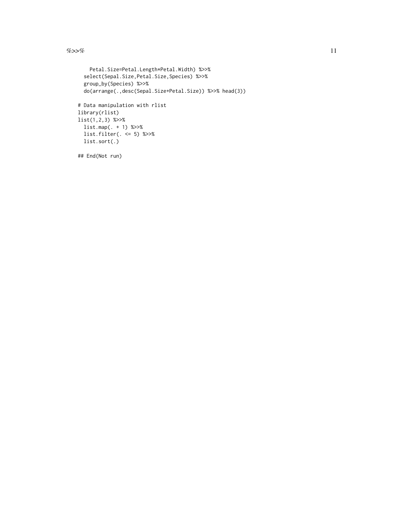$\%>>\%$  11

```
Petal.Size=Petal.Length*Petal.Width) %>>%
  select(Sepal.Size,Petal.Size,Species) %>>%
  group_by(Species) %>>%
  do(arrange(.,desc(Sepal.Size+Petal.Size)) %>>% head(3))
# Data manipulation with rlist
library(rlist)
list(1,2,3) %>>%
 list.map(. + 1) %>>%
 list.filter(. <= 5) %>>%
 list.sort(.)
## End(Not run)
```